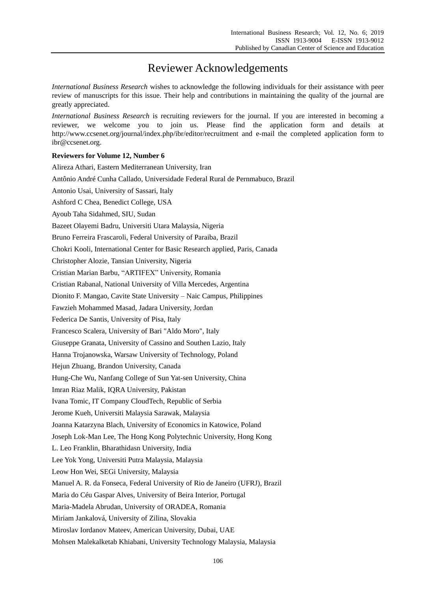## Reviewer Acknowledgements

*International Business Research* wishes to acknowledge the following individuals for their assistance with peer review of manuscripts for this issue. Their help and contributions in maintaining the quality of the journal are greatly appreciated.

*International Business Research* is recruiting reviewers for the journal. If you are interested in becoming a reviewer, we welcome you to join us. Please find the application form and details at http://www.ccsenet.org/journal/index.php/ibr/editor/recruitment and e-mail the completed application form to ibr@ccsenet.org.

## **Reviewers for Volume 12, Number 6**

| Alireza Athari, Eastern Mediterranean University, Iran                        |
|-------------------------------------------------------------------------------|
| Antônio André Cunha Callado, Universidade Federal Rural de Pernmabuco, Brazil |
| Antonio Usai, University of Sassari, Italy                                    |
| Ashford C Chea, Benedict College, USA                                         |
| Ayoub Taha Sidahmed, SIU, Sudan                                               |
| Bazeet Olayemi Badru, Universiti Utara Malaysia, Nigeria                      |
| Bruno Ferreira Frascaroli, Federal University of Paraiba, Brazil              |
| Chokri Kooli, International Center for Basic Research applied, Paris, Canada  |
| Christopher Alozie, Tansian University, Nigeria                               |
| Cristian Marian Barbu, "ARTIFEX" University, Romania                          |
| Cristian Rabanal, National University of Villa Mercedes, Argentina            |
| Dionito F. Mangao, Cavite State University - Naic Campus, Philippines         |
| Fawzieh Mohammed Masad, Jadara University, Jordan                             |
| Federica De Santis, University of Pisa, Italy                                 |
| Francesco Scalera, University of Bari "Aldo Moro", Italy                      |
| Giuseppe Granata, University of Cassino and Southen Lazio, Italy              |
| Hanna Trojanowska, Warsaw University of Technology, Poland                    |
| Hejun Zhuang, Brandon University, Canada                                      |
| Hung-Che Wu, Nanfang College of Sun Yat-sen University, China                 |
| Imran Riaz Malik, IQRA University, Pakistan                                   |
| Ivana Tomic, IT Company CloudTech, Republic of Serbia                         |
| Jerome Kueh, Universiti Malaysia Sarawak, Malaysia                            |
| Joanna Katarzyna Blach, University of Economics in Katowice, Poland           |
| Joseph Lok-Man Lee, The Hong Kong Polytechnic University, Hong Kong           |
| L. Leo Franklin, Bharathidasn University, India                               |
| Lee Yok Yong, Universiti Putra Malaysia, Malaysia                             |
| Leow Hon Wei, SEGi University, Malaysia                                       |
| Manuel A. R. da Fonseca, Federal University of Rio de Janeiro (UFRJ), Brazil  |
| Maria do C ái Gaspar Alves, University of Beira Interior, Portugal            |
| Maria-Madela Abrudan, University of ORADEA, Romania                           |
| Miriam Jankalov á University of Zilina, Slovakia                              |
| Miroslav Iordanov Mateev, American University, Dubai, UAE                     |
| Mohsen Malekalketab Khiabani, University Technology Malaysia, Malaysia        |